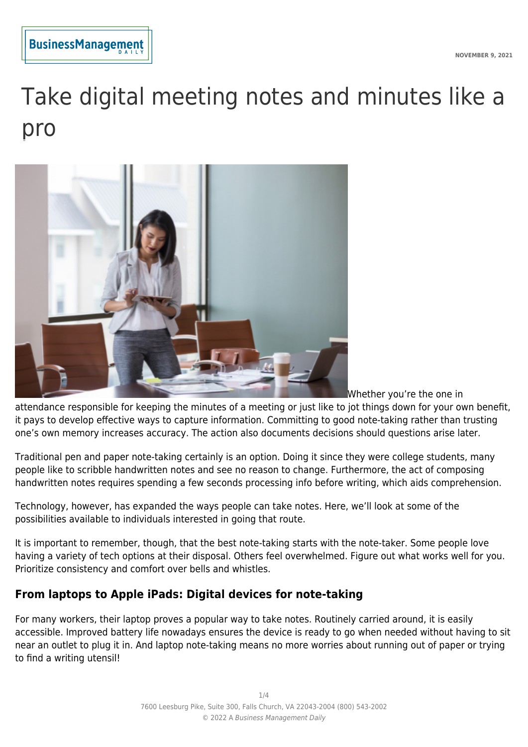

# Take digital meeting notes and minutes like a pro



Whether you're the one in

attendance responsible for keeping the minutes of a meeting or just like to jot things down for your own benefit, it pays to develop effective ways to capture information. Committing to good note-taking rather than trusting one's own memory increases accuracy. The action also documents decisions should questions arise later.

Traditional pen and paper note-taking certainly is an option. Doing it since they were college students, many people like to scribble handwritten notes and see no reason to change. Furthermore, the act of composing handwritten notes requires spending a few seconds processing info before writing, which aids comprehension.

Technology, however, has expanded the ways people can take notes. Here, we'll look at some of the possibilities available to individuals interested in going that route.

It is important to remember, though, that the best note-taking starts with the note-taker. Some people love having a variety of tech options at their disposal. Others feel overwhelmed. Figure out what works well for you. Prioritize consistency and comfort over bells and whistles.

# **From laptops to Apple iPads: Digital devices for note-taking**

For many workers, their laptop proves a popular way to take notes. Routinely carried around, it is easily accessible. Improved battery life nowadays ensures the device is ready to go when needed without having to sit near an outlet to plug it in. And laptop note-taking means no more worries about running out of paper or trying to find a writing utensil!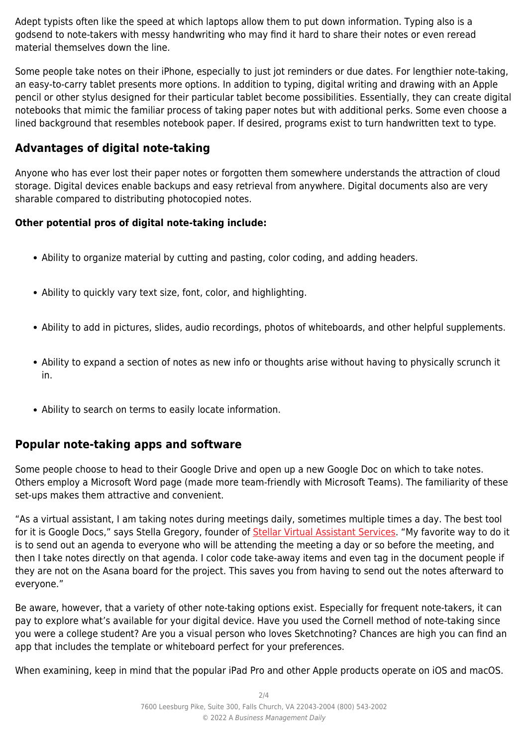Adept typists often like the speed at which laptops allow them to put down information. Typing also is a godsend to note-takers with messy handwriting who may find it hard to share their notes or even reread material themselves down the line.

Some people take notes on their iPhone, especially to just jot reminders or due dates. For lengthier note-taking, an easy-to-carry tablet presents more options. In addition to typing, digital writing and drawing with an Apple pencil or other stylus designed for their particular tablet become possibilities. Essentially, they can create digital notebooks that mimic the familiar process of taking paper notes but with additional perks. Some even choose a lined background that resembles notebook paper. If desired, programs exist to turn handwritten text to type.

# **Advantages of digital note-taking**

Anyone who has ever lost their paper notes or forgotten them somewhere understands the attraction of cloud storage. Digital devices enable backups and easy retrieval from anywhere. Digital documents also are very sharable compared to distributing photocopied notes.

## **Other potential pros of digital note-taking include:**

- Ability to organize material by cutting and pasting, color coding, and adding headers.
- Ability to quickly vary text size, font, color, and highlighting.
- Ability to add in pictures, slides, audio recordings, photos of whiteboards, and other helpful supplements.
- Ability to expand a section of notes as new info or thoughts arise without having to physically scrunch it in.
- Ability to search on terms to easily locate information.

# **Popular note-taking apps and software**

Some people choose to head to their Google Drive and open up a new Google Doc on which to take notes. Others employ a Microsoft Word page (made more team-friendly with Microsoft Teams). The familiarity of these set-ups makes them attractive and convenient.

"As a virtual assistant, I am taking notes during meetings daily, sometimes multiple times a day. The best tool for it is Google Docs," says Stella Gregory, founder of [Stellar Virtual Assistant Services](https://www.stellarvirtualassistantservices.com/). "My favorite way to do it is to send out an agenda to everyone who will be attending the meeting a day or so before the meeting, and then I take notes directly on that agenda. I color code take-away items and even tag in the document people if they are not on the Asana board for the project. This saves you from having to send out the notes afterward to everyone."

Be aware, however, that a variety of other note-taking options exist. Especially for frequent note-takers, it can pay to explore what's available for your digital device. Have you used the Cornell method of note-taking since you were a college student? Are you a visual person who loves Sketchnoting? Chances are high you can find an app that includes the template or whiteboard perfect for your preferences.

When examining, keep in mind that the popular iPad Pro and other Apple products operate on iOS and macOS.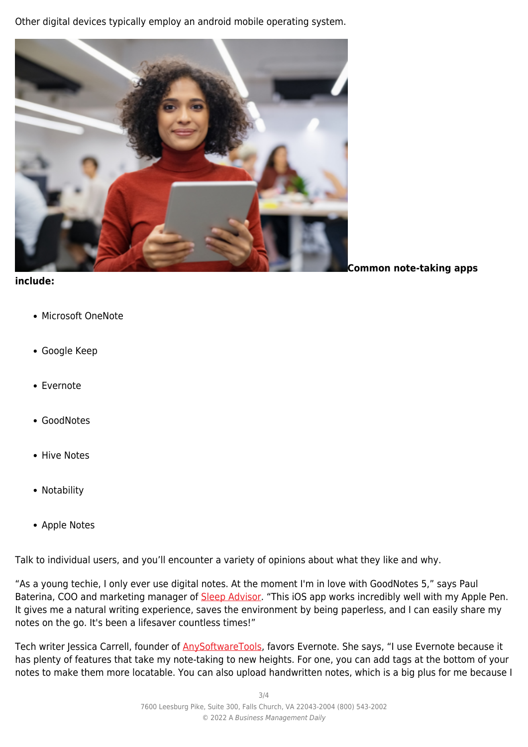Other digital devices typically employ an android mobile operating system.



#### **include:**

**Common note-taking apps**

- Microsoft OneNote
- Google Keep
- Evernote
- GoodNotes
- Hive Notes
- Notability
- Apple Notes

Talk to individual users, and you'll encounter a variety of opinions about what they like and why.

"As a young techie, I only ever use digital notes. At the moment I'm in love with GoodNotes 5," says Paul Baterina, COO and marketing manager of [Sleep Advisor](https://www.sleepadvisor.org/). "This iOS app works incredibly well with my Apple Pen. It gives me a natural writing experience, saves the environment by being paperless, and I can easily share my notes on the go. It's been a lifesaver countless times!"

Tech writer Jessica Carrell, founder of **AnySoftwareTools**, favors Evernote. She says, "I use Evernote because it has plenty of features that take my note-taking to new heights. For one, you can add tags at the bottom of your notes to make them more locatable. You can also upload handwritten notes, which is a big plus for me because I